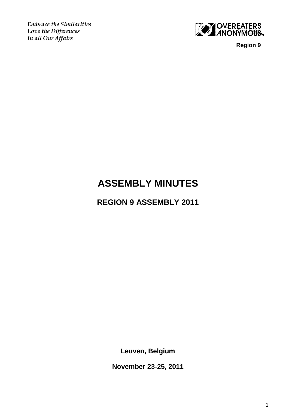*Embrace the Similarities Love the Differences In all Our Affairs*



 **Region 9**

# **ASSEMBLY MINUTES**

**REGION 9 ASSEMBLY 2011**

**Leuven, Belgium**

**November 23-25, 2011**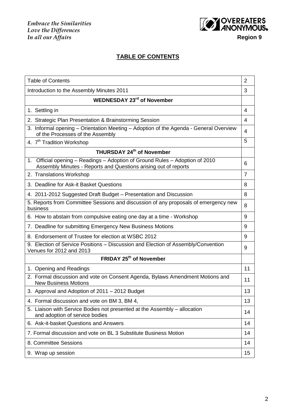

## **TABLE OF CONTENTS**

| <b>Table of Contents</b>                                                                                                                           | $\overline{2}$ |
|----------------------------------------------------------------------------------------------------------------------------------------------------|----------------|
| Introduction to the Assembly Minutes 2011                                                                                                          | 3              |
| <b>WEDNESDAY 23rd of November</b>                                                                                                                  |                |
| 1. Settling in                                                                                                                                     | 4              |
| 2. Strategic Plan Presentation & Brainstorming Session                                                                                             | 4              |
| 3. Informal opening - Orientation Meeting - Adoption of the Agenda - General Overview<br>of the Processes of the Assembly                          | 4              |
| 4. 7 <sup>th</sup> Tradition Workshop                                                                                                              | 5              |
| THURSDAY 24th of November                                                                                                                          |                |
| Official opening – Readings – Adoption of Ground Rules – Adoption of 2010<br>1.<br>Assembly Minutes - Reports and Questions arising out of reports | 6              |
| 2. Translations Workshop                                                                                                                           | $\overline{7}$ |
| 3. Deadline for Ask-it Basket Questions                                                                                                            | 8              |
| 4. 2011-2012 Suggested Draft Budget - Presentation and Discussion                                                                                  | 8              |
| 5. Reports from Committee Sessions and discussion of any proposals of emergency new<br>business                                                    | 8              |
| 6. How to abstain from compulsive eating one day at a time - Workshop                                                                              | 9              |
| 7. Deadline for submitting Emergency New Business Motions                                                                                          | 9              |
| 8. Endorsement of Trustee for election at WSBC 2012                                                                                                | 9              |
| 9. Election of Service Positions - Discussion and Election of Assembly/Convention<br>Venues for 2012 and 2013                                      | 9              |
| FRIDAY 25 <sup>th</sup> of November                                                                                                                |                |
| 1. Opening and Readings                                                                                                                            | 11             |
| 2. Formal discussion and vote on Consent Agenda, Bylaws Amendment Motions and<br><b>New Business Motions</b>                                       | 11             |
| 3. Approval and Adoption of 2011 – 2012 Budget                                                                                                     | 13             |
| 4. Formal discussion and vote on BM 3, BM 4,                                                                                                       | 13             |
| 5. Liaison with Service Bodies not presented at the Assembly - allocation<br>and adoption of service bodies                                        | 14             |
| 6. Ask-it-basket Questions and Answers                                                                                                             | 14             |
| 7. Formal discussion and vote on BL 3 Substitute Business Motion                                                                                   | 14             |
| 8. Committee Sessions                                                                                                                              | 14             |
| 9. Wrap up session                                                                                                                                 | 15             |
|                                                                                                                                                    |                |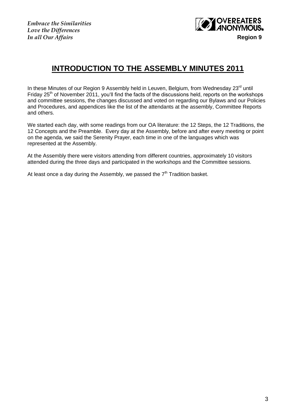*Embrace the Similarities Love the Differences*



## **INTRODUCTION TO THE ASSEMBLY MINUTES 2011**

In these Minutes of our Region 9 Assembly held in Leuven, Belgium, from Wednesday 23<sup>rd</sup> until Friday 25<sup>th</sup> of November 2011, you'll find the facts of the discussions held, reports on the workshops and committee sessions, the changes discussed and voted on regarding our Bylaws and our Policies and Procedures, and appendices like the list of the attendants at the assembly, Committee Reports and others.

We started each day, with some readings from our OA literature: the 12 Steps, the 12 Traditions, the 12 Concepts and the Preamble. Every day at the Assembly, before and after every meeting or point on the agenda, we said the Serenity Prayer, each time in one of the languages which was represented at the Assembly.

At the Assembly there were visitors attending from different countries, approximately 10 visitors attended during the three days and participated in the workshops and the Committee sessions.

At least once a day during the Assembly, we passed the  $7<sup>th</sup>$  Tradition basket.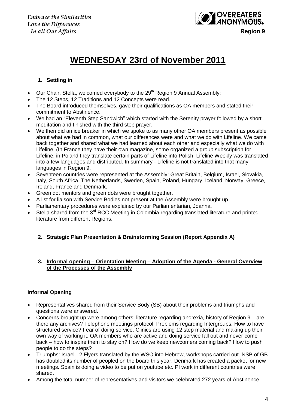

# **WEDNESDAY 23rd of November 2011**

## **1. Settling in**

- Our Chair, Stella, welcomed everybody to the 29<sup>th</sup> Region 9 Annual Assembly;
- The 12 Steps, 12 Traditions and 12 Concepts were read.
- The Board introduced themselves, gave their qualifications as OA members and stated their commitment to Abstinence.
- We had an "Eleventh Step Sandwich" which started with the Serenity prayer followed by a short meditation and finished with the third step prayer.
- We then did an ice breaker in which we spoke to as many other OA members present as possible about what we had in common, what our differences were and what we do with Lifeline. We came back together and shared what we had learned about each other and especially what we do with Lifeline. (In France they have their own magazine, some organized a group subscription for Lifeline, in Poland they translate certain parts of Lifeline into Polish, Lifeline Weekly was translated into a few languages and distributed. In summary - Lifeline is not translated into that many languages in Region 9.
- Seventeen countries were represented at the Assembly: Great Britain, Belgium, Israel, Slovakia, Italy, South Africa, The Netherlands, Sweden, Spain, Poland, Hungary, Iceland, Norway, Greece, Ireland, France and Denmark.
- Green dot mentors and green dots were brought together.
- A list for liaison with Service Bodies not present at the Assembly were brought up.
- Parliamentary procedures were explained by our Parliamentarian, Joanna.
- Stella shared from the 3<sup>rd</sup> RCC Meeting in Colombia regarding translated literature and printed literature from different Regions.

## **2. Strategic Plan Presentation & Brainstorming Session (Report Appendix A)**

#### **3. Informal opening – Orientation Meeting – Adoption of the Agenda - General Overview of the Processes of the Assembly**

## **Informal Opening**

- Representatives shared from their Service Body (SB) about their problems and triumphs and questions were answered.
- Concerns brought up were among others; literature regarding anorexia, history of Region 9 are there any archives? Telephone meetings protocol. Problems regarding Intergroups. How to have structured service? Fear of doing service. Clinics are using 12 step material and making up their own way of working it. OA members who are active and doing service fall out and never come back – how to inspire them to stay on? How do we keep newcomers coming back? How to push people to do the steps?
- Triumphs: Israel 2 Flyers translated by the WSO into Hebrew, workshops carried out. NSB of GB has doubled its number of peopled on the board this year. Denmark has created a packet for new meetings. Spain is doing a video to be put on youtube etc. PI work in different countries were shared.
- Among the total number of representatives and visitors we celebrated 272 years of Abstinence.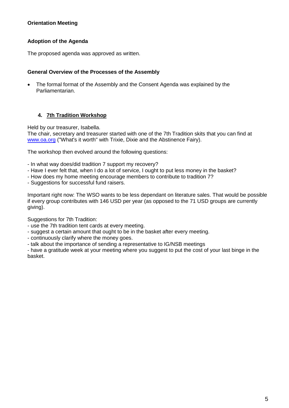## **Orientation Meeting**

## **Adoption of the Agenda**

The proposed agenda was approved as written.

#### **General Overview of the Processes of the Assembly**

 The formal format of the Assembly and the Consent Agenda was explained by the Parliamentarian.

#### **4. 7th Tradition Workshop**

Held by our treasurer, Isabella.

The chair, secretary and treasurer started with one of the 7th Tradition skits that you can find at [www.oa.org](http://www.oa.org/) ("What's it worth" with Trixie, Dixie and the Abstinence Fairy).

The workshop then evolved around the following questions:

- In what way does/did tradition 7 support my recovery?
- Have I ever felt that, when I do a lot of service, I ought to put less money in the basket?
- How does my home meeting encourage members to contribute to tradition 7?
- Suggestions for successful fund raisers.

Important right now: The WSO wants to be less dependant on literature sales. That would be possible if every group contributes with 146 USD per year (as opposed to the 71 USD groups are currently giving).

Suggestions for 7th Tradition:

- use the 7th tradition tent cards at every meeting.
- suggest a certain amount that ought to be in the basket after every meeting.
- continuously clarify where the money goes.
- talk about the importance of sending a representative to IG/NSB meetings

- have a gratitude week at your meeting where you suggest to put the cost of your last binge in the basket.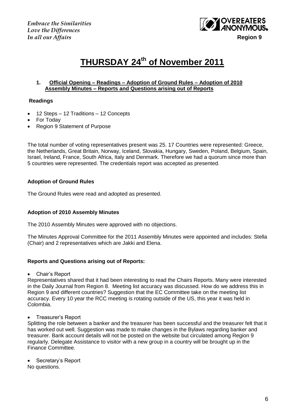

# **THURSDAY 24 th of November 2011**

#### **1. Official Opening – Readings – Adoption of Ground Rules – Adoption of 2010 Assembly Minutes – Reports and Questions arising out of Reports**

#### **Readings**

- 12 Steps 12 Traditions 12 Concepts
- For Today
- Region 9 Statement of Purpose

The total number of voting representatives present was 25. 17 Countries were represented: Greece, the Netherlands, Great Britain, Norway, Iceland, Slovakia, Hungary, Sweden, Poland, Belgium, Spain, Israel, Ireland, France, South Africa, Italy and Denmark. Therefore we had a quorum since more than 5 countries were represented. The credentials report was accepted as presented.

#### **Adoption of Ground Rules**

The Ground Rules were read and adopted as presented.

#### **Adoption of 2010 Assembly Minutes**

The 2010 Assembly Minutes were approved with no objections.

The Minutes Approval Committee for the 2011 Assembly Minutes were appointed and includes: Stella (Chair) and 2 representatives which are Jakki and Elena.

#### **Reports and Questions arising out of Reports:**

Chair"s Report

Representatives shared that it had been interesting to read the Chairs Reports. Many were interested in the Daily Journal from Region 8. Meeting list accuracy was discussed. How do we address this in Region 9 and different countries? Suggestion that the EC Committee take on the meeting list accuracy. Every 10 year the RCC meeting is rotating outside of the US, this year it was held in Colombia.

Treasurer"s Report

Splitting the role between a banker and the treasurer has been successful and the treasurer felt that it has worked out well. Suggestion was made to make changes in the Bylaws regarding banker and treasurer. Bank account details will not be posted on the website but circulated among Region 9 regularly. Delegate Assistance to visitor with a new group in a country will be brought up in the Finance Committee.

Secretary"s Report

No questions.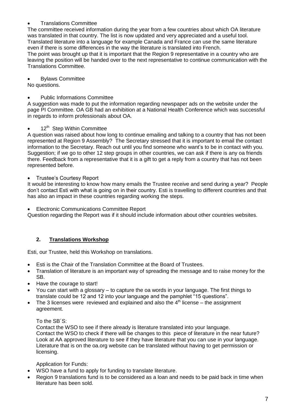## Translations Committee

The committee received information during the year from a few countries about which OA literature was translated in that country. The list is now updated and very appreciated and a useful tool. Translated literature into a language for example Canada and France can use the same literature even if there is some differences in the way the literature is translated into French.

The point was brought up that it is important that the Region 9 representative in a country who are leaving the position will be handed over to the next representative to continue communication with the Translations Committee.

#### Bylaws Committee

No questions.

#### Public Informations Committee

A suggestion was made to put the information regarding newspaper ads on the website under the page PI Committee. OA GB had an exhibition at a National Health Conference which was successful in regards to inform professionals about OA.

#### 12<sup>th</sup> Step Within Committee

A question was raised about how long to continue emailing and talking to a country that has not been represented at Region 9 Assembly? The Secretary stressed that it is important to email the contact information to the Secretary. Reach out until you find someone who want"s to be in contact with you. Suggestion; if we go to other 12 step groups in other countries, we can ask if there is any oa friends there. Feedback from a representative that it is a gift to get a reply from a country that has not been represented before.

#### Trustee"s Courtesy Report

It would be interesting to know how many emails the Trustee receive and send during a year? People don"t contact Esti with what is going on in their country. Esti is travelling to different countries and that has also an impact in these countries regarding working the steps.

Electronic Communications Committee Report

Question regarding the Report was if it should include information about other countries websites.

## **2. Translations Workshop**

Esti, our Trustee, held this Workshop on translations.

- Esti is the Chair of the Translation Committee at the Board of Trustees.
- Translation of literature is an important way of spreading the message and to raise money for the SB.
- Have the courage to start!
- You can start with a glossary to capture the oa words in your language. The first things to translate could be 12 and 12 into your language and the pamphlet "15 questions".
- The 3 licenses were reviewed and explained and also the  $4<sup>th</sup>$  license the assignment agreement.

#### To the SB´S:

Contact the WSO to see if there already is literature translated into your language. Contact the WSO to check if there will be changes to this piece of literature in the near future? Look at AA approved literature to see if they have literature that you can use in your language. Literature that is on the oa.org website can be translated without having to get permission or licensing.

#### Application for Funds:

- WSO have a fund to apply for funding to translate literature.
- Region 9 translations fund is to be considered as a loan and needs to be paid back in time when literature has been sold.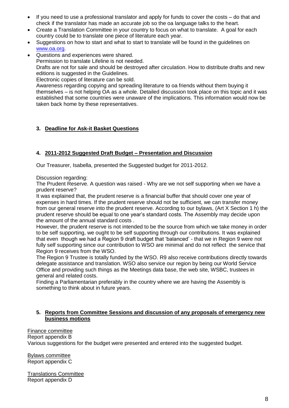- If you need to use a professional translator and apply for funds to cover the costs do that and check if the translator has made an accurate job so the oa language talks to the heart.
- Create a Translation Committee in your country to focus on what to translate. A goal for each country could be to translate one piece of literature each year.
- Suggestions on how to start and what to start to translate will be found in the guidelines on [www.oa.org.](http://www.oa.org/)
- Questions and experiences were shared. Permission to translate Lifeline is not needed. Drafts are not for sale and should be destroyed after circulation. How to distribute drafts and new editions is suggested in the Guidelines. Electronic copies of literature can be sold.

Awareness regarding copying and spreading literature to oa friends without them buying it themselves – is not helping OA as a whole. Detailed discussion took place on this topic and it was established that some countries were unaware of the implications. This information would now be taken back home by these representatives.

## **3. Deadline for Ask-it Basket Questions**

## **4. 2011-2012 Suggested Draft Budget – Presentation and Discussion**

Our Treasurer, Isabella, presented the Suggested budget for 2011-2012.

Discussion regarding:

The Prudent Reserve. A question was raised - Why are we not self supporting when we have a prudent reserve?

It was explained that, the prudent reserve is a financial buffer that should cover one year of expenses in hard times. If the prudent reserve should not be sufficient, we can transfer money from our general reserve into the prudent reserve. According to our bylaws, (Art X Section 1 h) the prudent reserve should be equal to one year"s standard costs. The Assembly may decide upon the amount of the annual standard costs .

However, the prudent reserve is not intended to be the source from which we take money in order to be self supporting, we ought to be self supporting through our contributions. It was explained that even though we had a Region 9 draft budget that "balanced" - that we in Region 9 were not fully self supporting since our contribution to WSO are minimal and do not reflect the service that Region 9 receives from the WSO.

The Region 9 Trustee is totally funded by the WSO. R9 also receive contributions directly towards delegate assistance and translation. WSO also service our region by being our World Service Office and providing such things as the Meetings data base, the web site, WSBC, trustees in general and related costs.

Finding a Parliamentarian preferably in the country where we are having the Assembly is something to think about in future years.

## **5. Reports from Committee Sessions and discussion of any proposals of emergency new business motions**

Finance committee Report appendix B Various suggestions for the budget were presented and entered into the suggested budget.

Bylaws committee Report appendix C

Translations Committee Report appendix D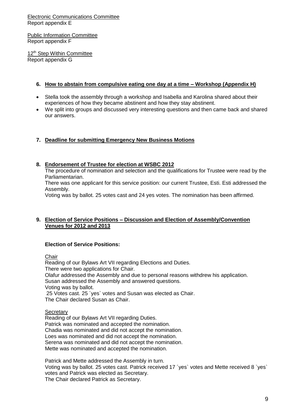#### Electronic Communications Committee Report appendix E

Public Information Committee Report appendix F

12<sup>th</sup> Step Within Committee Report appendix G

#### **6. How to abstain from compulsive eating one day at a time – Workshop (Appendix H)**

- Stella took the assembly through a workshop and Isabella and Karolina shared about their experiences of how they became abstinent and how they stay abstinent.
- We split into groups and discussed very interesting questions and then came back and shared our answers.

## **7. Deadline for submitting Emergency New Business Motions**

#### **8. Endorsement of Trustee for election at WSBC 2012**

The procedure of nomination and selection and the qualifications for Trustee were read by the Parliamentarian.

There was one applicant for this service position: our current Trustee, Esti. Esti addressed the Assembly.

Voting was by ballot. 25 votes cast and 24 yes votes. The nomination has been affirmed.

#### **9. Election of Service Positions – Discussion and Election of Assembly/Convention Venues for 2012 and 2013**

#### **Election of Service Positions:**

Chair

Reading of our Bylaws Art VII regarding Elections and Duties. There were two applications for Chair. Olafur addressed the Assembly and due to personal reasons withdrew his application. Susan addressed the Assembly and answered questions. Voting was by ballot. 25 Votes cast. 25 ´yes` votes and Susan was elected as Chair. The Chair declared Susan as Chair.

#### **Secretary**

Reading of our Bylaws Art VII regarding Duties. Patrick was nominated and accepted the nomination. Chadia was nominated and did not accept the nomination. Loes was nominated and did not accept the nomination. Serena was nominated and did not accept the nomination. Mette was nominated and accepted the nomination.

Patrick and Mette addressed the Assembly in turn. Voting was by ballot. 25 votes cast. Patrick received 17 ´yes` votes and Mette received 8 `yes` votes and Patrick was elected as Secretary. The Chair declared Patrick as Secretary.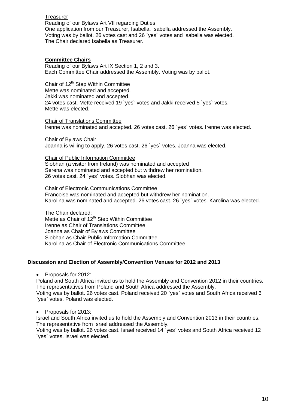#### **Treasurer**

Reading of our Bylaws Art VII regarding Duties. One application from our Treasurer, Isabella. Isabella addressed the Assembly. Voting was by ballot. 26 votes cast and 26 `yes´ votes and Isabella was elected. The Chair declared Isabella as Treasurer.

#### **Committee Chairs**

Reading of our Bylaws Art IX Section 1, 2 and 3. Each Committee Chair addressed the Assembly. Voting was by ballot.

## Chair of 12<sup>th</sup> Step Within Committee

Mette was nominated and accepted. Jakki was nominated and accepted. 24 votes cast. Mette received 19 `yes` votes and Jakki received 5 `yes` votes. Mette was elected.

Chair of Translations Committee Irenne was nominated and accepted. 26 votes cast. 26 `yes` votes. Irenne was elected.

Chair of Bylaws Chair Joanna is willing to apply. 26 votes cast. 26 `yes` votes. Joanna was elected.

#### Chair of Public Information Committee

Siobhan (a visitor from Ireland) was nominated and accepted Serena was nominated and accepted but withdrew her nomination. 26 votes cast. 24 `yes´ votes. Siobhan was elected.

Chair of Electronic Communications Committee Francoise was nominated and accepted but withdrew her nomination. Karolina was nominated and accepted. 26 votes cast. 26 `yes` votes. Karolina was elected.

The Chair declared:

Mette as Chair of  $12<sup>th</sup>$  Step Within Committee Irenne as Chair of Translations Committee Joanna as Chair of Bylaws Committee Siobhan as Chair Public Information Committee Karolina as Chair of Electronic Communications Committee

#### **Discussion and Election of Assembly/Convention Venues for 2012 and 2013**

• Proposals for 2012:

Poland and South Africa invited us to hold the Assembly and Convention 2012 in their countries. The representatives from Poland and South Africa addressed the Assembly.

Voting was by ballot. 26 votes cast. Poland received 20 `yes` votes and South Africa received 6 `yes` votes. Poland was elected.

• Proposals for 2013:

Israel and South Africa invited us to hold the Assembly and Convention 2013 in their countries. The representative from Israel addressed the Assembly.

Voting was by ballot. 26 votes cast. Israel received 14 `yes` votes and South Africa received 12 `yes` votes. Israel was elected.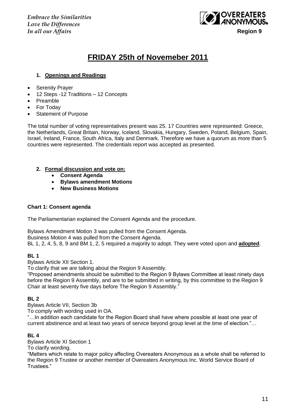*Embrace the Similarities Love the Differences In all our Affairs* **Region 9**



## **FRIDAY 25th of Novemeber 2011**

#### **1. Openings and Readings**

- Serenity Prayer
- 12 Steps -12 Traditions 12 Concepts
- Preamble
- For Today
- Statement of Purpose

The total number of voting representatives present was 25. 17 Countries were represented: Greece, the Netherlands, Great Britain, Norway, Iceland, Slovakia, Hungary, Sweden, Poland, Belgium, Spain, Israel, Ireland, France, South Africa, Italy and Denmark. Therefore we have a quorum as more than 5 countries were represented. The credentials report was accepted as presented.

#### **2. Formal discussion and vote on:**

- **Consent Agenda**
- **Bylaws amendment Motions**
- **New Business Motions**

#### **Chart 1: Consent agenda**

The Parliamentarian explained the Consent Agenda and the procedure.

Bylaws Amendment Motion 3 was pulled from the Consent Agenda.

Business Motion 4 was pulled from the Consent Agenda.

BL 1, 2, 4, 5, 8, 9 and BM 1, 2, 5 required a majority to adopt. They were voted upon and **adopted**.

#### **BL 1**

Bylaws Article XII Section 1.

To clarify that we are talking about the Region 9 Assembly.

"Proposed amendments should be submitted to the Region 9 Bylaws Committee at least ninety days before the Region 9 Assembly, and are to be submitted in writing, by this committee to the Region 9 Chair at least seventy five days before The Region 9 Assembly."

#### **BL 2**

Bylaws Article VII, Section 3b

To comply with wording used in OA.

"…In addition each candidate for the Region Board shall have where possible at least one year of current abstinence and at least two years of service beyond group level at the time of election."…

#### **BL 4**

Bylaws Article XI Section 1

To clarify wording.

"Matters which relate to major policy affecting Overeaters Anonymous as a whole shall be referred to the Region 9 Trustee or another member of Overeaters Anonymous Inc. World Service Board of Trustees."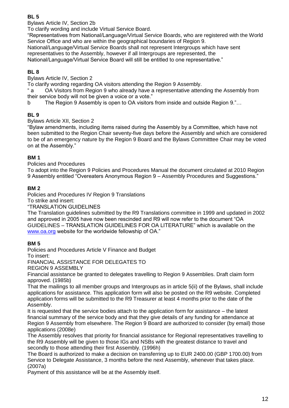## **BL 5**

Bylaws Article IV, Section 2b

To clarify wording and include Virtual Service Board.

"Representatives from National/Language/Virtual Service Boards, who are registered with the World Service Office and who are within the geographical boundaries of Region 9.

National/Language/Virtual Service Boards shall not represent Intergroups which have sent representatives to the Assembly, however if all Intergroups are represented, the

National/Language/Virtual Service Board will still be entitled to one representative."

## **BL 8**

Bylaws Article IV, Section 2

To clarify wording regarding OA visitors attending the Region 9 Assembly.

" a OA Visitors from Region 9 who already have a representative attending the Assembly from their service body will not be given a voice or a vote."

b The Region 9 Assembly is open to OA visitors from inside and outside Region 9."…

## **BL 9**

Bylaws Article XII, Section 2

"Bylaw amendments, including items raised during the Assembly by a Committee, which have not been submitted to the Region Chair seventy-five days before the Assembly and which are considered to be of an emergency nature by the Region 9 Board and the Bylaws Committtee Chair may be voted on at the Assembly."

## **BM 1**

Policies and Procedures

To adopt into the Region 9 Policies and Procedures Manual the document circulated at 2010 Region 9 Assembly entitled "Overeaters Anonymous Region 9 – Assembly Procedures and Suggestions."

## **BM 2**

Policies and Procedures IV Region 9 Translations

To strike and insert:

"TRANSLATION GUIDELINES

The Translation guidelines submitted by the R9 Translations committee in 1999 and updated in 2002 and approved in 2005 have now been rescinded and R9 will now refer to the document "OA GUIDELINES – TRANSLATION GUIDELINES FOR OA LITERATURE" which is available on the [www.oa.org](http://www.oa.org/) website for the worldwide fellowship of OA."

## **BM 5**

Policies and Procedures Article V Finance and Budget

To insert:

FINANCIAL ASSISTANCE FOR DELEGATES TO

REGION 9 ASSEMBLY

Financial assistance be granted to delegates travelling to Region 9 Assemblies. Draft claim form approved. (1985b)

That the mailings to all member groups and Intergroups as in article 5(ii) of the Bylaws, shall include applications for assistance. This application form will also be posted on the R9 website. Completed application forms will be submitted to the R9 Treasurer at least 4 months prior to the date of the Assembly.

It is requested that the service bodies attach to the application form for assistance – the latest financial summary of the service body and that they give details of any funding for attendance at Region 9 Assembly from elsewhere. The Region 9 Board are authorized to consider (by email) those applications (2008e)

The Assembly resolves that priority for financial assistance for Regional representatives travelling to the R9 Assembly will be given to those IGs and NSBs with the greatest distance to travel and secondly to those attending their first Assembly. (1996h)

The Board is authorized to make a decision on transferring up to EUR 2400.00 (GBP 1700.00) from Service to Delegate Assistance, 3 months before the next Assembly, whenever that takes place. (2007a)

Payment of this assistance will be at the Assembly itself.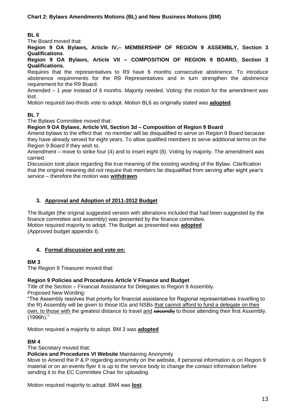## **BL 6**

The Board moved that:

**Region 9 OA Bylaws, Article IV,– MEMBERSHIP OF REGION 9 ASSEMBLY, Section 3 Qualifications**.

**Region 9 OA Bylaws, Article VII – COMPOSITION OF REGION 9 BOARD, Section 3 Qualifications.**

Requires that the representatives to R9 have 6 months consecutive abstinence. To introduce abstinence requirements for the R9 Representatives and in turn strengthen the abstinence requirement for the R9 Board.

Amended – 1 year instead of 6 months. Majority needed. Voting: the motion for the amendment was lost.

Motion required two-thirds vote to adopt. Motion BL6 as originally stated was **adopted**.

## **BL 7**

The Bylaws Committee moved that:

#### **Region 9 OA Bylaws, Article VII, Section 3d – Composition of Region 9 Board**

Amend bylaws to the effect that no member will be disqualified to serve on Region 9 Board because they have already served for eight years. To allow qualified members to serve additional terms on the Region 9 Board if they wish to.

Amendment – move to strike four (4) and to insert eight (8). Voting by majority. The amendment was carried.

Discussion took place regarding the true meaning of the existing wording of the Bylaw. Clarification that the original meaning did not require that members be disqualified from serving after eight year"s service – therefore the motion was **withdrawn**.

#### **3. Approval and Adoption of 2011-2012 Budget**

The Budget (the original suggested version with alterations included that had been suggested by the finance committee and assembly) was presented by the finance committee. Motion required majority to adopt. The Budget as presented was **adopted** (Approved budget appendix I).

## **4. Formal discussion and vote on:**

#### **BM 3**

The Region 9 Treasurer moved that:

#### **Region 9 Policies and Procedures Article V Finance and Budget**

Title of the Section – Financial Assistance for Delegates to Region 9 Assembly. Proposed New Wording:

"The Assembly resolves that priority for financial assistance for Regional representatives travelling to the R) Assembly will be given to those IGs and NSBs that cannot afford to fund a delegate on their own, to those with the greatest distance to travel and secondly to those attending their first Assembly. (1996h)."

Motion required a majority to adopt. BM 3 was **adopted**

#### **BM 4**

The Secretary moved that:

#### **Policies and Procedures VI Website** Maintaining Anonymity

Move to Amend the P & P regarding anonymity on the website, if personal information is on Region 9 material or on an events flyer it is up to the service body to change the contact information before sending it to the EC Committee Chair for uploading.

Motion required majority to adopt. BM4 was **lost**.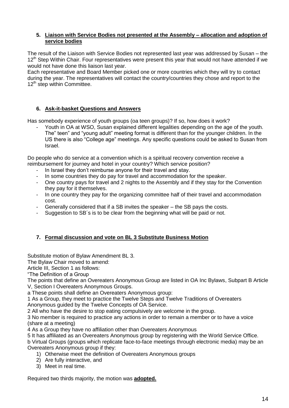#### **5. Liaison with Service Bodies not presented at the Assembly – allocation and adoption of service bodies**

The result of the Liaison with Service Bodies not represented last year was addressed by Susan – the 12<sup>th</sup> Step Within Chair. Four representatives were present this year that would not have attended if we would not have done this liaison last year.

Each representative and Board Member picked one or more countries which they will try to contact during the year. The representatives will contact the country/countries they chose and report to the  $12<sup>th</sup>$  step within Committee.

## **6. Ask-it-basket Questions and Answers**

Has somebody experience of youth groups (oa teen groups)? If so, how does it work?

Youth in OA at WSO, Susan explained different legalities depending on the age of the youth. The" teen" and "young adult" meeting format is different than for the younger children. In the US there is also "College age" meetings. Any specific questions could be asked to Susan from Israel.

Do people who do service at a convention which is a spiritual recovery convention receive a reimbursement for journey and hotel in your country? Which service position?

- In Israel they don't reimburse anyone for their travel and stay.
- In some countries they do pay for travel and accommodation for the speaker.
- One country pays for travel and 2 nights to the Assembly and if they stay for the Convention they pay for it themselves.
- In one country they pay for the organizing committee half of their travel and accommodation cost.
- Generally considered that if a SB invites the speaker the SB pays the costs.
- Suggestion to SB's is to be clear from the beginning what will be paid or not.

## **7. Formal discussion and vote on BL 3 Substitute Business Motion**

Substitute motion of Bylaw Amendment BL 3.

The Bylaw Chair moved to amend:

Article III, Section 1 as follows:

"The Definition of a Group

The points that define an Overeaters Anonymous Group are listed in OA Inc Bylaws, Subpart B Article V, Section I Overeaters Anonymous Groups.

a These points shall define an Overeaters Anonymous group:

1 As a Group, they meet to practice the Twelve Steps and Twelve Traditions of Overeaters

Anonymous guided by the Twelve Concepts of OA Service.

2 All who have the desire to stop eating compulsively are welcome in the group.

3 No member is required to practice any actions in order to remain a member or to have a voice (share at a meeting)

4 As a Group they have no affiliation other than Overeaters Anonymous

5 It has affiliated as an Overeaters Anonymous group by registering with the World Service Office.

b Virtual Groups (groups which replicate face-to-face meetings through electronic media) may be an Overeaters Anonymous group if they:

- 1) Otherwise meet the definition of Overeaters Anonymous groups
- 2) Are fully interactive, and
- 3) Meet in real time.

Required two thirds majority, the motion was **adopted.**